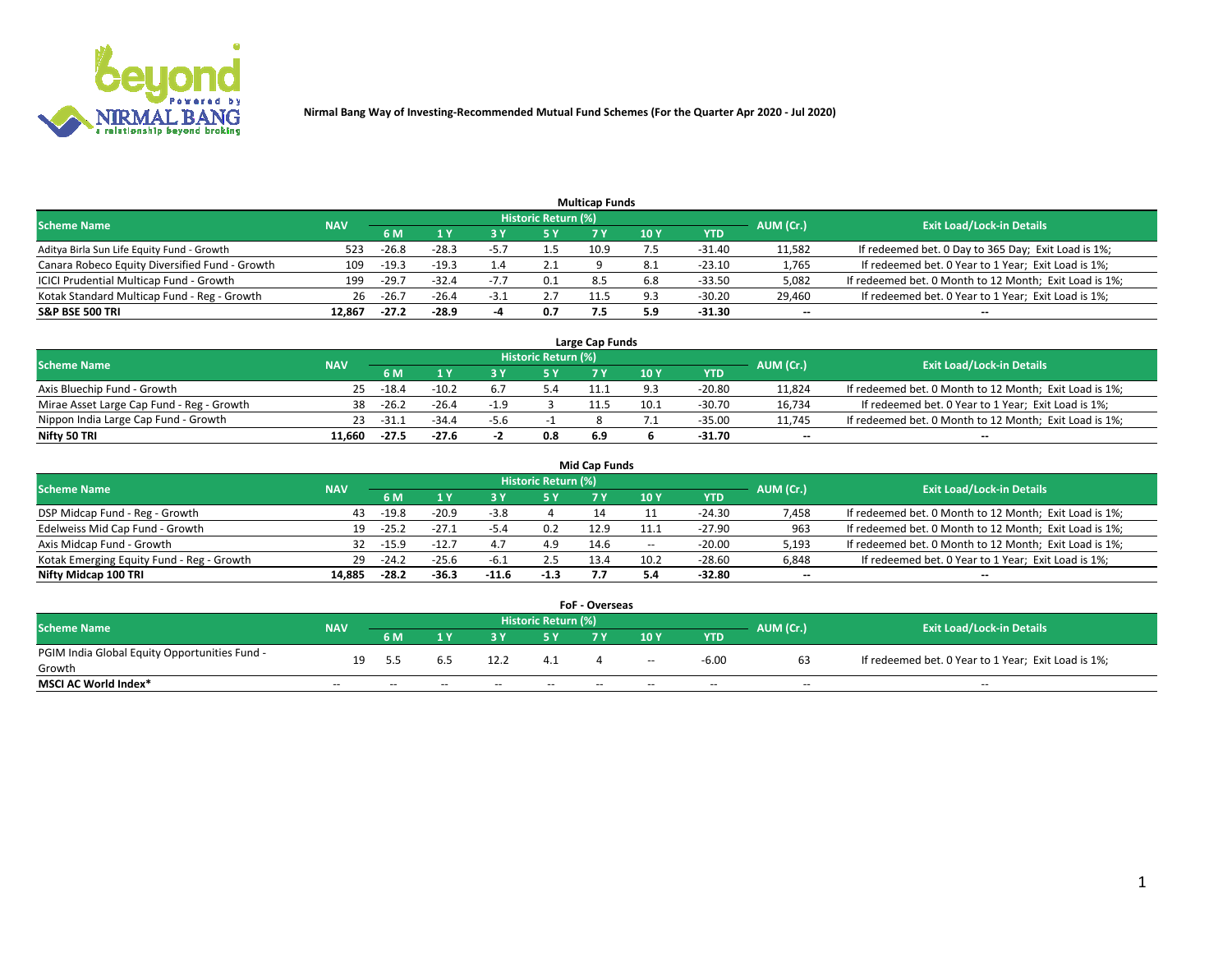

|                                                |            |         |         |        |                     | <b>Multicap Funds</b> |     |          |           |                                                        |
|------------------------------------------------|------------|---------|---------|--------|---------------------|-----------------------|-----|----------|-----------|--------------------------------------------------------|
| <b>Scheme Name</b>                             | <b>NAV</b> |         |         |        | Historic Return (%) |                       |     |          | AUM (Cr.) | <b>Exit Load/Lock-in Details</b>                       |
|                                                |            | 6 M     |         |        | 5 Y                 |                       | 10Y | YTD      |           |                                                        |
| Aditya Birla Sun Life Equity Fund - Growth     | 523        | $-26.8$ | $-28.3$ | -5.7   |                     | 10.9                  |     | -31.40   | 11,582    | If redeemed bet. 0 Day to 365 Day; Exit Load is 1%;    |
| Canara Robeco Equity Diversified Fund - Growth | 109        | $-19.3$ | $-19.3$ |        | 2.1                 |                       | 8.1 | $-23.10$ | 1,765     | If redeemed bet. 0 Year to 1 Year; Exit Load is 1%;    |
| ICICI Prudential Multicap Fund - Growth        | 199        | $-29.7$ | $-32.4$ | -77    | 0.1                 | 8.5                   | 6.8 | $-33.50$ | 5,082     | If redeemed bet. 0 Month to 12 Month; Exit Load is 1%; |
| Kotak Standard Multicap Fund - Reg - Growth    | 26         | $-26.7$ | $-26.4$ | $-3.1$ | 2.7                 |                       | 9.3 | $-30.20$ | 29,460    | If redeemed bet. 0 Year to 1 Year; Exit Load is 1%;    |
| <b>S&amp;P BSE 500 TRI</b>                     | 12.867     | $-27.2$ | -28.9   |        | 0.7                 |                       | 5.9 | -31.30   | --        | $-$                                                    |

| Large Cap Funds                           |            |         |         |        |                     |     |      |          |                          |                                                        |  |  |  |
|-------------------------------------------|------------|---------|---------|--------|---------------------|-----|------|----------|--------------------------|--------------------------------------------------------|--|--|--|
| Scheme Name                               | <b>NAV</b> |         |         |        | Historic Return (%) |     |      |          | AUM (Cr.)                | <b>Exit Load/Lock-in Details</b>                       |  |  |  |
|                                           |            | 6 M     |         |        | 5 V                 |     | 10 Y | YTD      |                          |                                                        |  |  |  |
| Axis Bluechip Fund - Growth               | 25.        | $-18.4$ | $-10.2$ | b.,    |                     |     |      | $-20.80$ | 11,824                   | If redeemed bet. 0 Month to 12 Month; Exit Load is 1%; |  |  |  |
| Mirae Asset Large Cap Fund - Reg - Growth | 38         | $-26.2$ | $-26.4$ | $-1.9$ |                     |     | 10.1 | $-30.70$ | 16,734                   | If redeemed bet. 0 Year to 1 Year; Exit Load is 1%;    |  |  |  |
| Nippon India Large Cap Fund - Growth      | 23         | -31.1   | $-34.4$ | -5.6   |                     |     |      | -35.00   | 11.745                   | If redeemed bet. 0 Month to 12 Month; Exit Load is 1%; |  |  |  |
| Nifty 50 TRI                              | 11.660     | $-27.5$ | $-27.6$ | - -    | 0.8                 | 6.9 |      | $-31.70$ | $\overline{\phantom{a}}$ | $-$                                                    |  |  |  |

|                                           |            |         |         |         |                     | <b>Mid Cap Funds</b> |        |            |           |                                                        |
|-------------------------------------------|------------|---------|---------|---------|---------------------|----------------------|--------|------------|-----------|--------------------------------------------------------|
| <b>Scheme Name</b>                        | <b>NAV</b> |         |         |         | Historic Return (%) |                      |        |            | AUM (Cr.) | <b>Exit Load/Lock-in Details</b>                       |
|                                           |            | 6 M     |         |         |                     |                      | 10Y    | <b>YTD</b> |           |                                                        |
| DSP Midcap Fund - Reg - Growth            | 43         | $-19.8$ | $-20.9$ | -3.8    |                     |                      |        | $-24.30$   | 7,458     | If redeemed bet. 0 Month to 12 Month; Exit Load is 1%; |
| Edelweiss Mid Cap Fund - Growth           | 19         | $-25.2$ |         | -5.4    | 0.2                 | 12.9                 |        | -27.90     | 963       | If redeemed bet. 0 Month to 12 Month; Exit Load is 1%; |
| Axis Midcap Fund - Growth                 | 32         | -15.9   | $-12.7$ | 4.7     | 4.9                 | 14.6                 | $\sim$ | $-20.00$   | 5,193     | If redeemed bet. 0 Month to 12 Month; Exit Load is 1%; |
| Kotak Emerging Equity Fund - Reg - Growth | 29         | $-24.2$ | $-25.6$ | $-6.1$  | 2.5                 | 13.4                 | 10.2   | $-28.60$   | 6,848     | If redeemed bet. 0 Year to 1 Year; Exit Load is 1%;    |
| Nifty Midcap 100 TRI                      | 14.885     | $-28.2$ | $-36.3$ | $-11.6$ | $-1.3$              |                      |        | -32.80     | $\sim$    |                                                        |

| <b>FoF - Overseas</b>                         |            |       |                                  |       |       |     |       |            |           |                                                     |  |  |  |
|-----------------------------------------------|------------|-------|----------------------------------|-------|-------|-----|-------|------------|-----------|-----------------------------------------------------|--|--|--|
| <b>Scheme Name</b>                            | <b>NAV</b> |       | <b>Exit Load/Lock-in Details</b> |       |       |     |       |            |           |                                                     |  |  |  |
|                                               |            | 6 M   | 1 V                              |       |       | 7 V | 10Y   | <b>YTD</b> | AUM (Cr.) |                                                     |  |  |  |
| PGIM India Global Equity Opportunities Fund - | 19         | . .   |                                  | 12.2  | 4.1   |     |       | $-6.00$    |           | If redeemed bet. 0 Year to 1 Year; Exit Load is 1%; |  |  |  |
| Growth                                        |            |       |                                  |       |       |     | $-$   |            |           |                                                     |  |  |  |
| <b>MSCI AC World Index*</b>                   | $- -$      | $- -$ | $- -$                            | $- -$ | $- -$ | $-$ | $- -$ | $- -$      | $- -$     | $- -$                                               |  |  |  |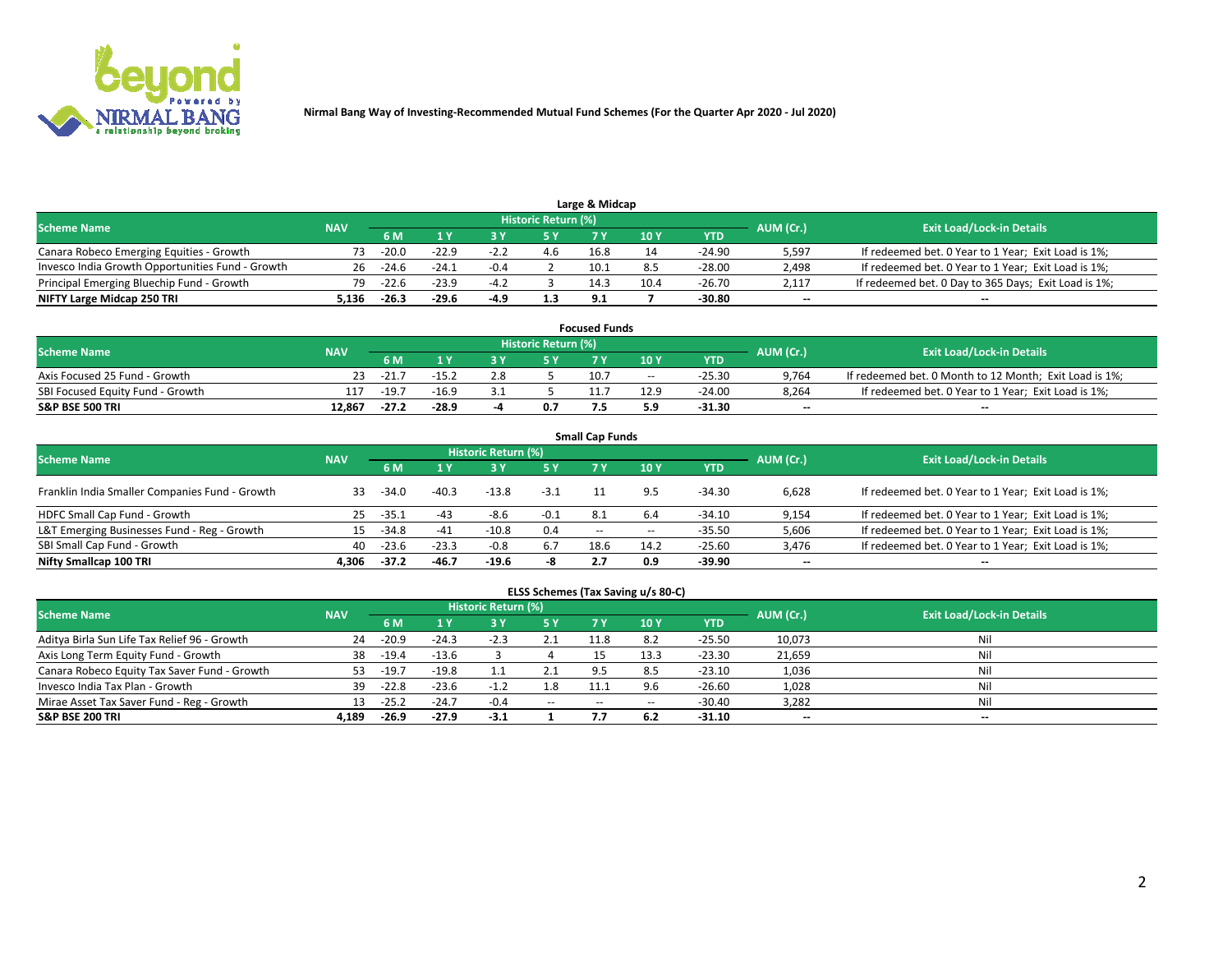

|                                                  |            |         |         |        | Historic Return (%) | Large & Midcap |      |            |                          |                                                      |
|--------------------------------------------------|------------|---------|---------|--------|---------------------|----------------|------|------------|--------------------------|------------------------------------------------------|
| <b>Scheme Name</b>                               | <b>NAV</b> | 5 M     |         |        |                     |                | 10Y  | <b>YTD</b> | AUM (Cr.)                | <b>Exit Load/Lock-in Details</b>                     |
| Canara Robeco Emerging Equities - Growth         | 73.        | $-20.0$ | $-22.9$ | $-2.2$ |                     | 16.8           |      | -24.90     | 5,597                    | If redeemed bet. 0 Year to 1 Year; Exit Load is 1%;  |
| Invesco India Growth Opportunities Fund - Growth | 26         | $-24.6$ | $-24.1$ | $-0.4$ |                     | 10.1           |      | -28.00     | 2,498                    | If redeemed bet. 0 Year to 1 Year; Exit Load is 1%;  |
| Principal Emerging Bluechip Fund - Growth        | 79         | $-22.6$ | $-23.9$ | $-4.2$ |                     | 14.3           | 10.4 | $-26.70$   | 2,117                    | If redeemed bet. 0 Day to 365 Days; Exit Load is 1%; |
| NIFTY Large Midcap 250 TRI                       | 136.د      | $-26.3$ | $-29.6$ | -4.9   | 1.3                 | 9.1            |      | -30.80     | $\overline{\phantom{a}}$ | $- -$                                                |

| <b>Focused Funds</b>             |            |         |         |  |                     |      |       |          |           |                                                        |  |  |  |
|----------------------------------|------------|---------|---------|--|---------------------|------|-------|----------|-----------|--------------------------------------------------------|--|--|--|
| <b>Scheme Name</b>               | <b>NAV</b> |         |         |  | Historic Return (%) |      |       |          | AUM (Cr.) | <b>Exit Load/Lock-in Details</b>                       |  |  |  |
|                                  |            | 6 M     |         |  |                     |      | 10 Y  | YTD      |           |                                                        |  |  |  |
| Axis Focused 25 Fund - Growth    |            | $-21.7$ | $-15.2$ |  |                     | 10.7 | $- -$ | $-25.30$ | 9,764     | If redeemed bet. 0 Month to 12 Month; Exit Load is 1%; |  |  |  |
| SBI Focused Equity Fund - Growth |            | $-19.7$ | $-16.9$ |  |                     |      | 12.9  | $-24.00$ | 8.264     | If redeemed bet. 0 Year to 1 Year; Exit Load is 1%;    |  |  |  |
| <b>S&amp;P BSE 500 TRI</b>       | 12.867     | $-27.2$ | $-28.9$ |  | 0.7                 |      | . و.  | $-31.30$ | $\sim$    | $- -$                                                  |  |  |  |

|                                                |            |         |         |                     |                                       | <b>Small Cap Funds</b> |       |          |        |                                                     |
|------------------------------------------------|------------|---------|---------|---------------------|---------------------------------------|------------------------|-------|----------|--------|-----------------------------------------------------|
| <b>Scheme Name</b>                             | <b>NAV</b> |         |         | Historic Return (%) |                                       |                        |       |          |        | <b>Exit Load/Lock-in Details</b>                    |
|                                                |            | 6 M     |         |                     | AUM (Cr.)<br>10Y<br>5 Y<br><b>YTD</b> |                        |       |          |        |                                                     |
| Franklin India Smaller Companies Fund - Growth | 33.        | $-34.0$ | $-40.3$ | $-13.8$             | $-3.1$                                |                        | 9.5   | -34.30   | 6.628  | If redeemed bet. 0 Year to 1 Year; Exit Load is 1%; |
| HDFC Small Cap Fund - Growth                   | 25         | $-35.1$ | -43     | -8.6                | $-0.1$                                | 8.1                    | 6.4   | $-34.10$ | 9,154  | If redeemed bet. 0 Year to 1 Year; Exit Load is 1%; |
| L&T Emerging Businesses Fund - Reg - Growth    | 15         | $-34.8$ | $-41$   | $-10.8$             | 0.4                                   | $- -$                  | $- -$ | -35.50   | 5,606  | If redeemed bet. 0 Year to 1 Year; Exit Load is 1%; |
| SBI Small Cap Fund - Growth                    | 40         | $-23.6$ | $-23.3$ | $-0.8$              | 6.7                                   | 18.6                   | 14.2  | $-25.60$ | 3,476  | If redeemed bet. 0 Year to 1 Year; Exit Load is 1%; |
| Nifty Smallcap 100 TRI                         | 4.306      | $-37.2$ | $-46.7$ | $-19.6$             | -8                                    |                        | 0.9   | -39.90   | $\sim$ | $- -$                                               |

## **ELSS Schemes (Tax Saving u/s 80-C)**

| <b>Scheme Name</b>                           | <b>NAV</b> |         |         | <b>Historic Return (%)</b> |           |      |                   |          | AUM (Cr.) | <b>Exit Load/Lock-in Details</b> |
|----------------------------------------------|------------|---------|---------|----------------------------|-----------|------|-------------------|----------|-----------|----------------------------------|
|                                              |            | 6 M     | 1 Y     | 3 Y                        | <b>5Y</b> | 7 Y  | 10Y               | YTD      |           |                                  |
| Aditya Birla Sun Life Tax Relief 96 - Growth | 24         | $-20.9$ | $-24.3$ | $-2.3$                     | 2.1       | 11.8 | 8.2               | $-25.50$ | 10,073    | Nil                              |
| Axis Long Term Equity Fund - Growth          | 38         | $-19.4$ | $-13.6$ |                            |           |      | $13.\overline{3}$ | $-23.30$ | 21,659    | Nil                              |
| Canara Robeco Equity Tax Saver Fund - Growth | 53         | $-19.7$ | $-19.8$ |                            |           | 9.5  | 8.5               | $-23.10$ | 1,036     | Nil                              |
| Invesco India Tax Plan - Growth              | 39         | $-22.8$ | $-23.6$ | $-1.2$                     | 1.8       | 11.  | 9.6               | $-26.60$ | 1,028     | Nil                              |
| Mirae Asset Tax Saver Fund - Reg - Growth    | 13         | $-25.2$ | $-24.7$ | $-0.4$                     | $- -$     | --   |                   | $-30.40$ | 3,282     | Nil                              |
| S&P BSE 200 TRI                              | 4.189      | -26.9   | $-27.9$ | $-3.1$                     |           |      | 6.2               | $-31.10$ | $\sim$    | $\overline{\phantom{a}}$         |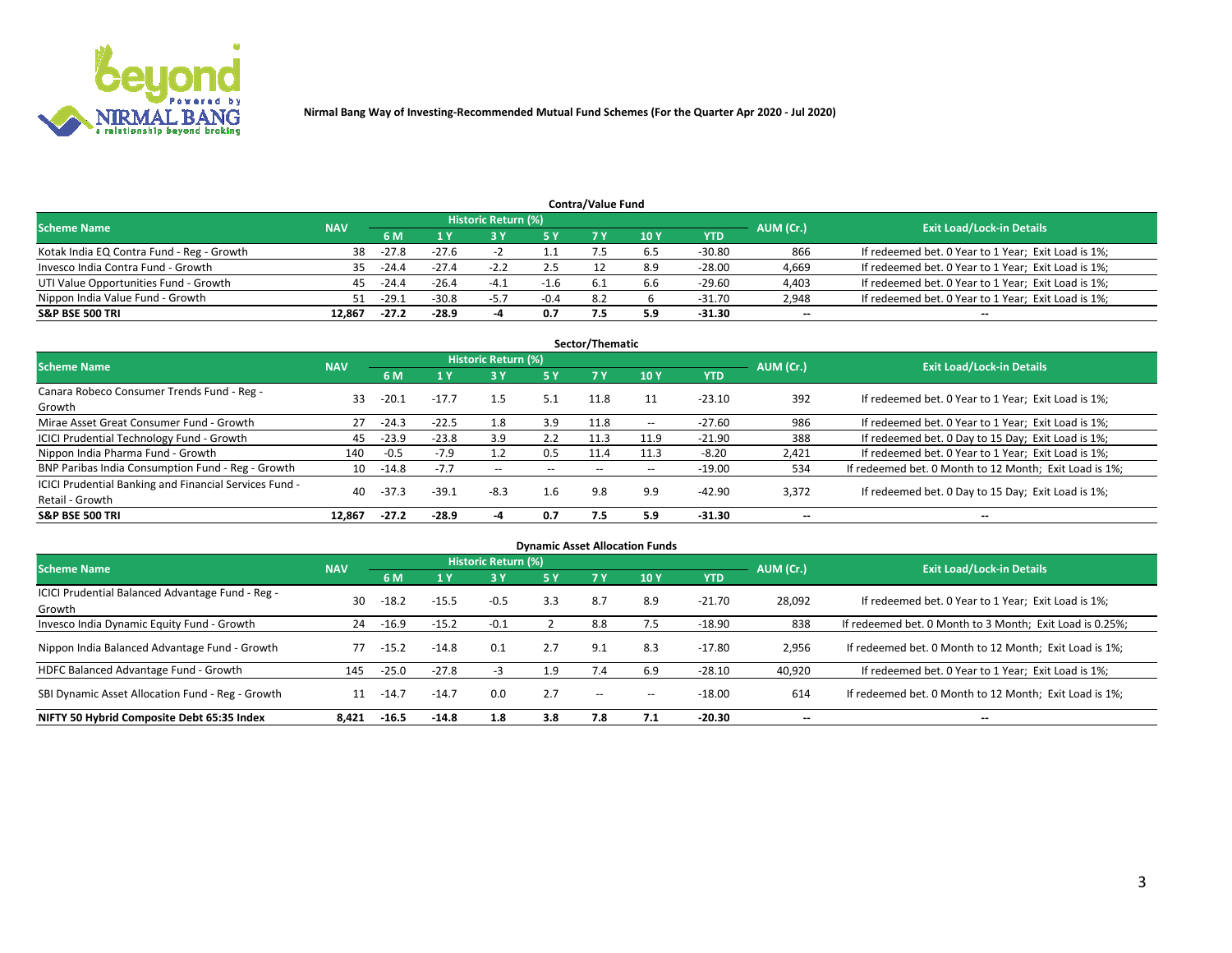

|                                           |            |         |         |                     |        | <b>Contra/Value Fund</b> |                 |          |                          |                                                     |
|-------------------------------------------|------------|---------|---------|---------------------|--------|--------------------------|-----------------|----------|--------------------------|-----------------------------------------------------|
| <b>Scheme Name</b>                        | <b>NAV</b> |         |         | Historic Return (%) |        |                          |                 |          | AUM (Cr.)                | <b>Exit Load/Lock-in Details</b>                    |
|                                           |            | 6 M     |         |                     | 5 Y    | 7 Y                      | 10 <sub>Y</sub> | YTD      |                          |                                                     |
| Kotak India EQ Contra Fund - Reg - Growth | 38         | $-27.8$ | $-27.6$ |                     |        |                          | b.5             | -30.80   | 866                      | If redeemed bet. 0 Year to 1 Year; Exit Load is 1%; |
| Invesco India Contra Fund - Growth        | 35.        | $-24.4$ | $-27.4$ | $-2.2$              |        |                          | 8.9             | -28.00   | 4,669                    | If redeemed bet. 0 Year to 1 Year; Exit Load is 1%; |
| UTI Value Opportunities Fund - Growth     | 45         | $-24.4$ | $-26.4$ | -4.1                | -1.0   |                          | 6.b             | -29.60   | 4,403                    | If redeemed bet. 0 Year to 1 Year; Exit Load is 1%; |
| Nippon India Value Fund - Growth          | 51         | $-29.1$ | $-30.8$ | $-5.7$              | $-0.4$ | 8.2                      |                 | $-31.70$ | 2,948                    | If redeemed bet. 0 Year to 1 Year; Exit Load is 1%; |
| <b>S&amp;P BSE 500 TRI</b>                | 12.867     | $-27.2$ | $-28.9$ |                     | 0.7    |                          | 5.9             | $-31.30$ | $\overline{\phantom{a}}$ | $\sim$                                              |

| Sector/Thematic                                                           |            |             |         |                          |                          |       |        |            |           |                                                        |  |  |  |
|---------------------------------------------------------------------------|------------|-------------|---------|--------------------------|--------------------------|-------|--------|------------|-----------|--------------------------------------------------------|--|--|--|
| <b>Scheme Name</b>                                                        | <b>NAV</b> |             |         | Historic Return (%)      |                          |       |        |            | AUM (Cr.) | <b>Exit Load/Lock-in Details</b>                       |  |  |  |
|                                                                           |            | 6 M         | 1 Y     | <b>3Y</b>                | 75 Y                     | 7 Y   | 10 Y   | <b>YTD</b> |           |                                                        |  |  |  |
| Canara Robeco Consumer Trends Fund - Reg -<br>Growth                      | 33         | $-20.1$     | $-17.7$ | $1.5\,$                  | 5.1                      | 11.8  |        | $-23.10$   | 392       | If redeemed bet. 0 Year to 1 Year; Exit Load is 1%;    |  |  |  |
| Mirae Asset Great Consumer Fund - Growth                                  | 27         | $-24.3$     | $-22.5$ | 1.8                      | 3.9                      | 11.8  | $\sim$ | $-27.60$   | 986       | If redeemed bet. 0 Year to 1 Year; Exit Load is 1%;    |  |  |  |
| ICICI Prudential Technology Fund - Growth                                 | 45         | $-23.9$     | $-23.8$ | 3.9                      | 2.2                      | 11.3  | 11.9   | $-21.90$   | 388       | If redeemed bet. 0 Day to 15 Day; Exit Load is 1%;     |  |  |  |
| Nippon India Pharma Fund - Growth                                         | 140        | $-0.5$      | $-7.9$  |                          | 0.5                      | 11.4  | 11.3   | $-8.20$    | 2,421     | If redeemed bet. 0 Year to 1 Year; Exit Load is 1%;    |  |  |  |
| BNP Paribas India Consumption Fund - Reg - Growth                         |            | $10 - 14.8$ | $-7.7$  | $\overline{\phantom{a}}$ | $\overline{\phantom{a}}$ | $- -$ | $- -$  | $-19.00$   | 534       | If redeemed bet. 0 Month to 12 Month; Exit Load is 1%; |  |  |  |
| ICICI Prudential Banking and Financial Services Fund -<br>Retail - Growth | 40         | $-37.3$     | $-39.1$ | $-8.3$                   | 1.6                      | 9.8   | 9.9    | $-42.90$   | 3,372     | If redeemed bet. 0 Day to 15 Day; Exit Load is 1%;     |  |  |  |
| <b>S&amp;P BSE 500 TRI</b>                                                | 12.867     | $-27.2$     | $-28.9$ |                          | 0.7                      | 7.5   | 5.9    | $-31.30$   | --        | $- -$                                                  |  |  |  |

| <b>Dynamic Asset Allocation Funds</b>                      |            |         |         |                            |     |               |                          |            |                          |                                                          |  |  |  |
|------------------------------------------------------------|------------|---------|---------|----------------------------|-----|---------------|--------------------------|------------|--------------------------|----------------------------------------------------------|--|--|--|
| <b>Scheme Name</b>                                         | <b>NAV</b> |         |         | <b>Historic Return (%)</b> |     |               |                          |            | AUM (Cr.)                | <b>Exit Load/Lock-in Details</b>                         |  |  |  |
|                                                            |            | 6 M     | 1 Y     | 73 Y                       | 5 Y | <b>7 Y</b>    | 10 <sub>Y</sub>          | <b>YTD</b> |                          |                                                          |  |  |  |
| ICICI Prudential Balanced Advantage Fund - Reg -<br>Growth | 30         | $-18.2$ | $-15.5$ | $-0.5$                     | 3.3 | 8.7           | 8.9                      | $-21.70$   | 28,092                   | If redeemed bet. 0 Year to 1 Year; Exit Load is 1%;      |  |  |  |
| Invesco India Dynamic Equity Fund - Growth                 | 24         | $-16.9$ | $-15.2$ | $-0.1$                     |     | 8.8           | 7.5                      | $-18.90$   | 838                      | If redeemed bet. 0 Month to 3 Month; Exit Load is 0.25%; |  |  |  |
| Nippon India Balanced Advantage Fund - Growth              | 77         | $-15.2$ | $-14.8$ | 0.1                        | 2.7 | 9.1           | 8.3                      | $-17.80$   | 2,956                    | If redeemed bet. 0 Month to 12 Month; Exit Load is 1%;   |  |  |  |
| HDFC Balanced Advantage Fund - Growth                      | 145        | $-25.0$ | $-27.8$ | -3                         | 1.9 | 7.4           | 6.9                      | $-28.10$   | 40,920                   | If redeemed bet. 0 Year to 1 Year; Exit Load is 1%;      |  |  |  |
| SBI Dynamic Asset Allocation Fund - Reg - Growth           | 11         | $-14.7$ | $-14.7$ | 0.0                        | 2.7 | $\sim$ $\sim$ | $\overline{\phantom{a}}$ | $-18.00$   | 614                      | If redeemed bet. 0 Month to 12 Month; Exit Load is 1%;   |  |  |  |
| NIFTY 50 Hybrid Composite Debt 65:35 Index                 | 8.421      | $-16.5$ | $-14.8$ | 1.8                        | 3.8 | 7.8           | 7.1                      | $-20.30$   | $\overline{\phantom{m}}$ | --                                                       |  |  |  |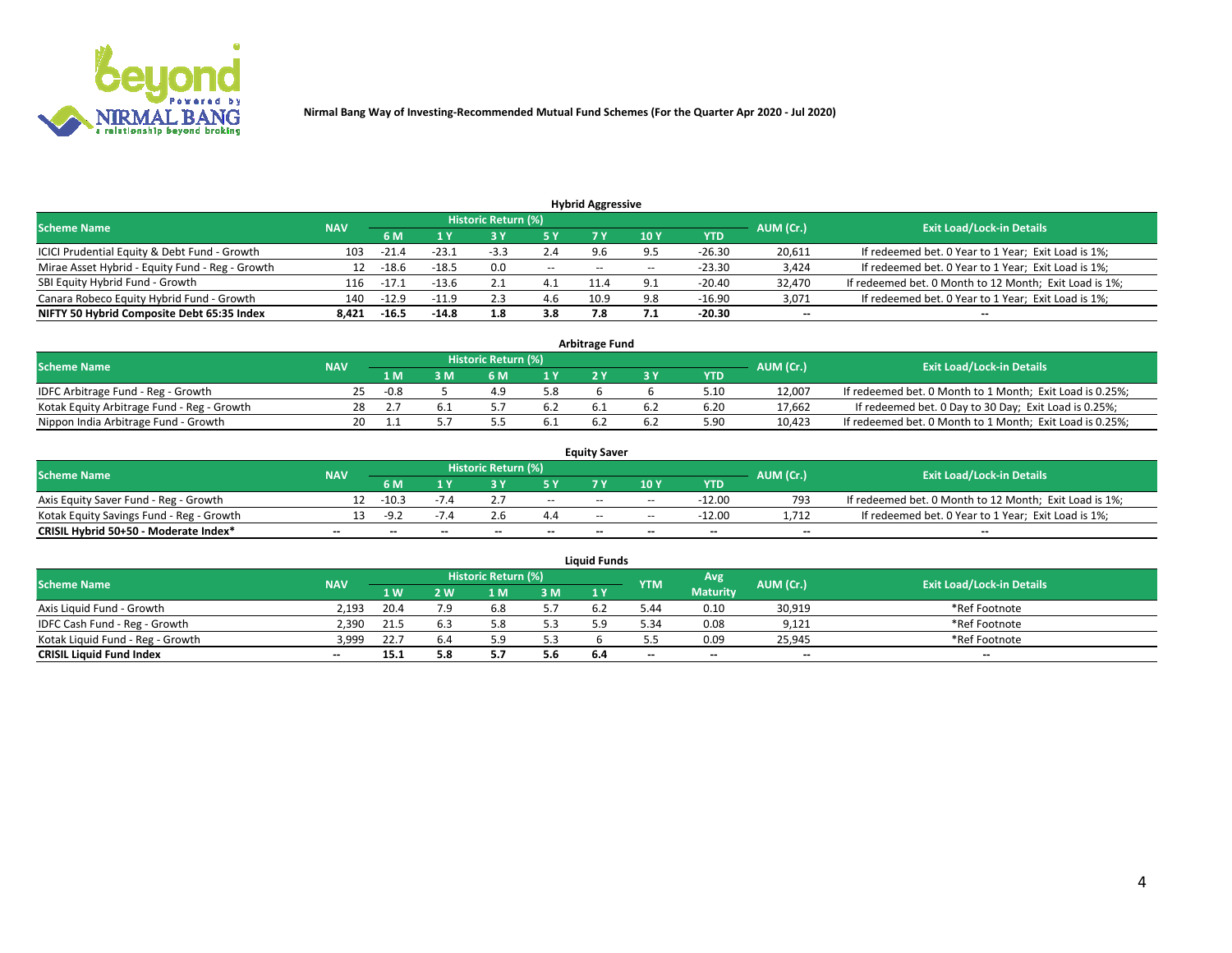

**Nirmal Bang Way of Investing-Recommended Mutual Fund Schemes (For the Quarter Apr 2020 - Jul 2020)**

|                                                 |            |         |         |                     |       | <b>Hybrid Aggressive</b> |       |            |           |                                                        |
|-------------------------------------------------|------------|---------|---------|---------------------|-------|--------------------------|-------|------------|-----------|--------------------------------------------------------|
| <b>Scheme Name</b>                              | <b>NAV</b> |         |         | Historic Return (%) |       |                          |       |            | AUM (Cr.) | <b>Exit Load/Lock-in Details</b>                       |
|                                                 |            | 6 M     | 1 Y     |                     |       |                          | 10Y   | <b>YTD</b> |           |                                                        |
| ICICI Prudential Equity & Debt Fund - Growth    | 103        | $-21.4$ | $-23.1$ | $-3.3$              | 2.4   | 9.6                      | 9.5   | $-26.30$   | 20,611    | If redeemed bet. 0 Year to 1 Year; Exit Load is 1%;    |
| Mirae Asset Hybrid - Equity Fund - Reg - Growth | 12         | $-18.6$ | $-18.5$ | 0.0                 | $- -$ | $- -$                    | $- -$ | $-23.30$   | 3,424     | If redeemed bet. 0 Year to 1 Year; Exit Load is 1%;    |
| SBI Equity Hybrid Fund - Growth                 | 116        | $-17.1$ | $-13.6$ | 2.1                 | 4.1   | 11.4                     | ∩ ^   | $-20.40$   | 32,470    | If redeemed bet. 0 Month to 12 Month; Exit Load is 1%; |
| Canara Robeco Equity Hybrid Fund - Growth       | 140        | $-12.9$ | -11.9   | 2.3                 | 4.6   | 10.9                     | Q R   | $-16.90$   | 3,071     | If redeemed bet. 0 Year to 1 Year; Exit Load is 1%;    |
| NIFTY 50 Hybrid Composite Debt 65:35 Index      | 8.421      | $-16.5$ | $-14.8$ | 1.8                 | 3.8   | 7.8                      |       | $-20.30$   | $\sim$    | $\overline{\phantom{a}}$                               |

|                                            |            |                                  |     |     |            | <b>Arbitrage Fund</b> |            |        |                                                          |
|--------------------------------------------|------------|----------------------------------|-----|-----|------------|-----------------------|------------|--------|----------------------------------------------------------|
| <b>Scheme Name</b>                         | AUM (Cr.)  | <b>Exit Load/Lock-in Details</b> |     |     |            |                       |            |        |                                                          |
|                                            | <b>NAV</b> | 1 M                              | } M | 6 M |            |                       | <b>YTD</b> |        |                                                          |
| IDFC Arbitrage Fund - Reg - Growth         | 25.        | -0.8                             |     |     | 5.8        |                       | 5.10       | 12,007 | If redeemed bet. 0 Month to 1 Month; Exit Load is 0.25%; |
| Kotak Equity Arbitrage Fund - Reg - Growth | 28         |                                  |     |     | 0.2        |                       | 6.20       | 17,662 | If redeemed bet. 0 Day to 30 Day; Exit Load is 0.25%;    |
| Nippon India Arbitrage Fund - Growth       | 20         |                                  |     |     | <b>D.I</b> |                       | 5.90       | 10,423 | If redeemed bet. 0 Month to 1 Month; Exit Load is 0.25%; |

|                                          |            |           |                                  |                          |                          | <b>Equity Saver</b> |               |            |                          |                                                        |
|------------------------------------------|------------|-----------|----------------------------------|--------------------------|--------------------------|---------------------|---------------|------------|--------------------------|--------------------------------------------------------|
| Scheme Name                              | <b>NAV</b> | AUM (Cr.) | <b>Exit Load/Lock-in Details</b> |                          |                          |                     |               |            |                          |                                                        |
|                                          |            | 6 M       |                                  |                          | 5 Y                      |                     | $\sqrt{10}$ Y | <b>YTD</b> |                          |                                                        |
| Axis Equity Saver Fund - Reg - Growth    |            | $-10.3$   |                                  |                          | $\sim$                   | $- -$               | $\sim$        | -12.00     | 793                      | If redeemed bet. 0 Month to 12 Month; Exit Load is 1%; |
| Kotak Equity Savings Fund - Reg - Growth |            | -9.7      | $-1.4$                           |                          | 4.4                      | $\sim$ $\sim$       | $- -$         | $-12.00$   | 1.712                    | If redeemed bet. 0 Year to 1 Year; Exit Load is 1%;    |
| CRISIL Hybrid 50+50 - Moderate Index*    |            | $- -$     | $-$                              | $\overline{\phantom{a}}$ | $\overline{\phantom{a}}$ | $\sim$              | --            | $\sim$     | $\overline{\phantom{a}}$ | $- -$                                                  |

| <b>Liquid Funds</b>              |            |      |     |                            |     |                |            |                 |                          |                                  |  |  |  |
|----------------------------------|------------|------|-----|----------------------------|-----|----------------|------------|-----------------|--------------------------|----------------------------------|--|--|--|
| Scheme Name                      | <b>NAV</b> |      |     | <b>Historic Return (%)</b> |     |                | <b>YTM</b> | Avg             | AUM (Cr.)                | <b>Exit Load/Lock-in Details</b> |  |  |  |
|                                  |            | 1 W. | ว พ | 1 M                        | 3M  | 1 <sup>Y</sup> |            | <b>Maturity</b> |                          |                                  |  |  |  |
| Axis Liquid Fund - Growth        | 2.193      | 20.4 | 7.9 |                            | 5.7 |                | 44.د       | 0.10            | 30,919                   | *Ref Footnote                    |  |  |  |
| IDFC Cash Fund - Reg - Growth    | 2.390      | 21.5 |     |                            | 5.3 |                | 5.34       | 0.08            | 9,121                    | *Ref Footnote                    |  |  |  |
| Kotak Liquid Fund - Reg - Growth | 3,999      | 22.7 |     |                            | 5.3 |                |            | 0.09            | 25,945                   | *Ref Footnote                    |  |  |  |
| <b>CRISIL Liquid Fund Index</b>  | $- -$      | 15.1 |     | в 7<br>J.,                 | 5.6 | 6.4            | --         | $\sim$          | $\overline{\phantom{a}}$ | $\sim$                           |  |  |  |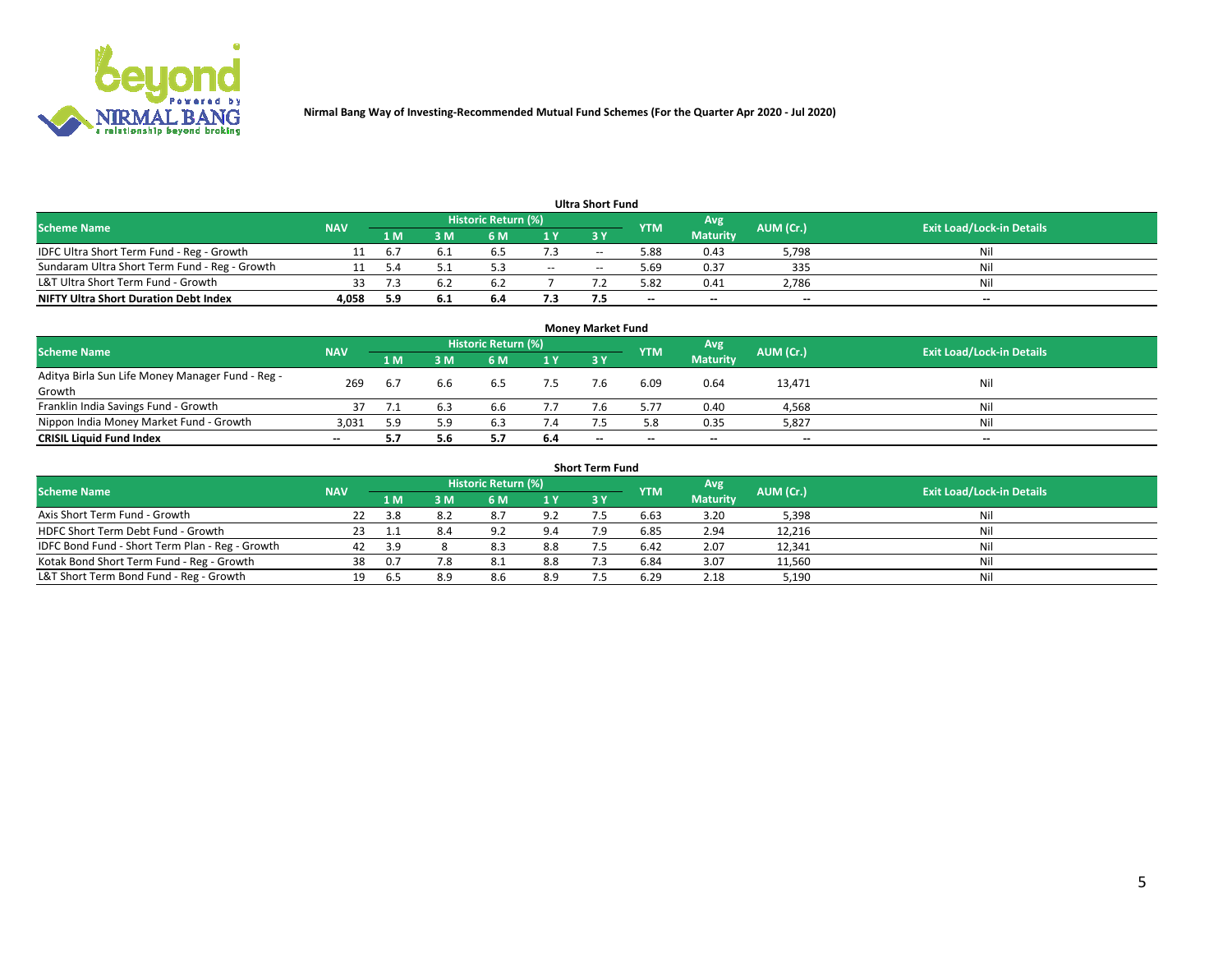

**Nirmal Bang Way of Investing-Recommended Mutual Fund Schemes (For the Quarter Apr 2020 - Jul 2020)**

|                                               |            |      |     |                     |        | <b>Ultra Short Fund</b> |            |                 |           |                                  |
|-----------------------------------------------|------------|------|-----|---------------------|--------|-------------------------|------------|-----------------|-----------|----------------------------------|
| <b>Scheme Name</b>                            | <b>NAV</b> |      |     | Historic Return (%) |        |                         | <b>YTM</b> | Avg             | AUM (Cr.) | <b>Exit Load/Lock-in Details</b> |
|                                               |            | 1 M' | 3 M | 6 M                 | 1 Y    | 3 Y                     |            | <b>Maturity</b> |           |                                  |
| IDFC Ultra Short Term Fund - Reg - Growth     |            | b    |     |                     |        | $-$                     | 5.88       | 0.43            | 5,798     | Nil                              |
| Sundaram Ultra Short Term Fund - Reg - Growth |            |      |     |                     | $\sim$ | $-$                     | .69 د      | 0.37            | 335       | Nil                              |
| L&T Ultra Short Term Fund - Growth            |            |      |     |                     |        |                         | 5.82       | 0.41            | 2,786     | Nil                              |
| <b>NIFTY Ultra Short Duration Debt Index</b>  | 4,058      | 5.9  | 6.1 | 6.4                 | 7.3    |                         | --         | $-$             | $\sim$    | $- -$                            |

| <b>Monev Market Fund</b>                         |            |      |     |                     |     |                          |            |                 |           |                                  |  |  |  |
|--------------------------------------------------|------------|------|-----|---------------------|-----|--------------------------|------------|-----------------|-----------|----------------------------------|--|--|--|
| <b>Scheme Name</b>                               | <b>NAV</b> |      |     | Historic Return (%) |     |                          | <b>YTM</b> | Avg             | AUM (Cr.) | <b>Exit Load/Lock-in Details</b> |  |  |  |
|                                                  |            | 1 M. | 3 M | 6 M                 | 1Y  | 3Y                       |            | <b>Maturity</b> |           |                                  |  |  |  |
| Aditya Birla Sun Life Money Manager Fund - Reg - | 269        |      | 6.6 |                     |     |                          | 6.09       | 0.64            | 13,471    | Nil                              |  |  |  |
| Growth                                           |            | 6.7  |     | 6.5                 |     |                          |            |                 |           |                                  |  |  |  |
| Franklin India Savings Fund - Growth             |            |      |     | 6.b                 | 7.7 |                          | 5.77       | 0.40            | 4,568     | Nil                              |  |  |  |
| Nippon India Money Market Fund - Growth          | 3,031      | 5.9  | 5.9 | 6.3                 | 7.4 |                          | 5.8        | 0.35            | 5,827     | Nil                              |  |  |  |
| <b>CRISIL Liquid Fund Index</b>                  | $\sim$     |      | 5.6 |                     | 6.4 | $\overline{\phantom{a}}$ | $\sim$     | $\sim$          | $\sim$    | $- -$                            |  |  |  |

| <b>Short Term Fund</b>                          |            |     |     |                     |     |           |            |                 |           |                                  |  |  |  |  |
|-------------------------------------------------|------------|-----|-----|---------------------|-----|-----------|------------|-----------------|-----------|----------------------------------|--|--|--|--|
| <b>Scheme Name</b>                              | <b>NAV</b> |     |     | Historic Return (%) |     |           | <b>YTM</b> | Avg             | AUM (Cr.) | <b>Exit Load/Lock-in Details</b> |  |  |  |  |
|                                                 |            | 1 M | 3 M | 6 M                 | 1Y  | <b>3Y</b> |            | <b>Maturity</b> |           |                                  |  |  |  |  |
| Axis Short Term Fund - Growth                   |            | 3.8 | 8.2 | 8.7                 | 9.2 |           | 6.63       | 3.20            | 5,398     | Nil                              |  |  |  |  |
| HDFC Short Term Debt Fund - Growth              | 23         |     | 8.4 | 9.2                 | 9.4 |           | 6.85       | 2.94            | 12,216    | Nil                              |  |  |  |  |
| IDFC Bond Fund - Short Term Plan - Reg - Growth | 42         | 3.9 |     | 8.3                 | 8.8 |           | 6.42       | 2.07            | 12,341    | Nil                              |  |  |  |  |
| Kotak Bond Short Term Fund - Reg - Growth       | 38         | 0.7 | 7.8 | 8.1                 | 8.8 |           | 6.84       | 3.07            | 11,560    | Nil                              |  |  |  |  |
| L&T Short Term Bond Fund - Reg - Growth         |            |     | 8.9 | 8.6                 | 8.9 |           | 6.29       | 2.18            | 5,190     | Nil                              |  |  |  |  |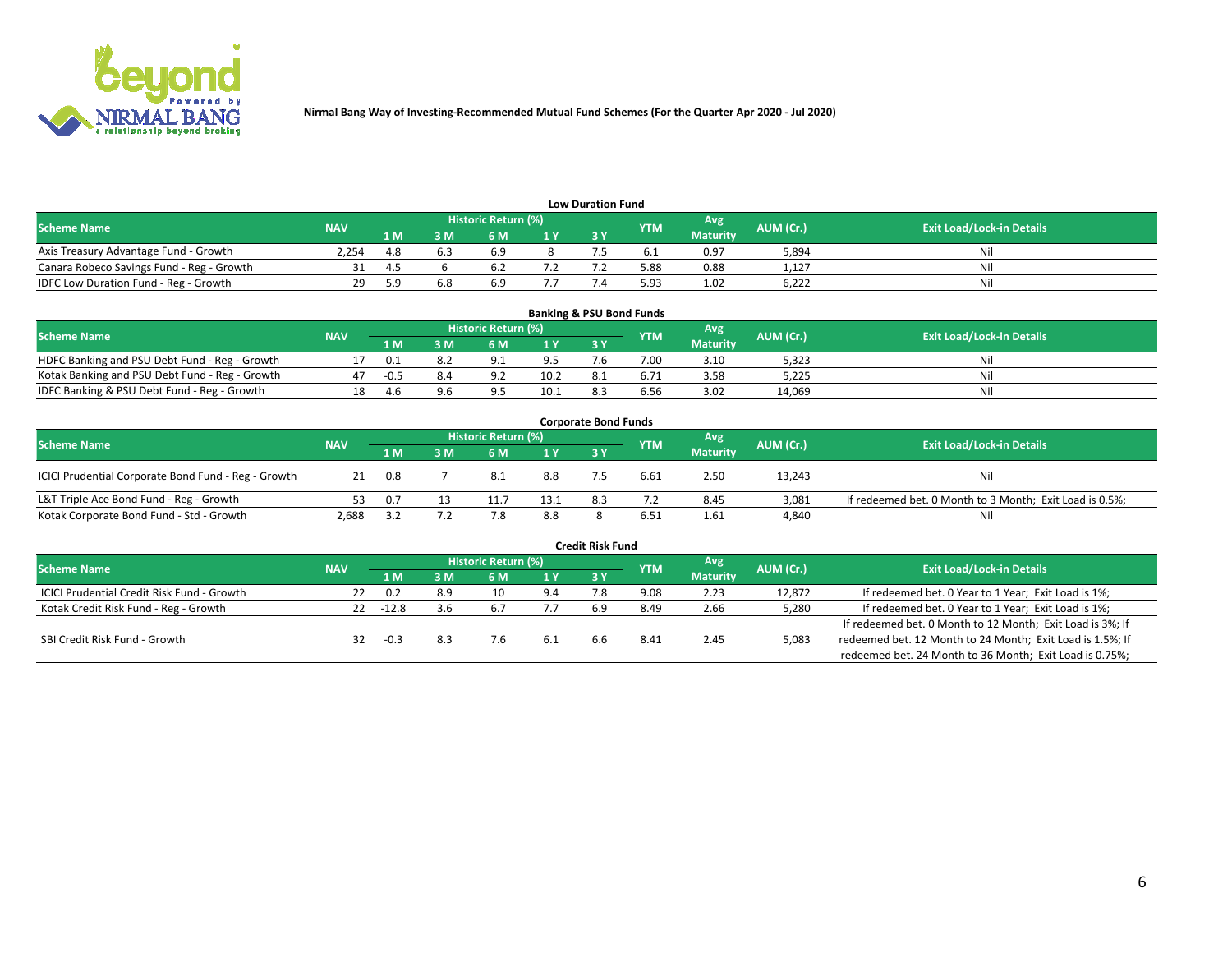

| <b>Low Duration Fund</b>                  |            |     |     |                     |     |     |            |                 |           |                                  |  |  |  |
|-------------------------------------------|------------|-----|-----|---------------------|-----|-----|------------|-----------------|-----------|----------------------------------|--|--|--|
| <b>Scheme Name</b>                        | <b>NAV</b> |     |     | Historic Return (%) |     |     | <b>YTM</b> | Avg             | AUM (Cr.) | <b>Exit Load/Lock-in Details</b> |  |  |  |
|                                           |            | 1 M | ያ M | 6 M                 | 1 V | 3 Y |            | <b>Maturity</b> |           |                                  |  |  |  |
| Axis Treasury Advantage Fund - Growth     | 2.254      | 4.8 |     | 6.9                 |     |     |            | 0.97            | 5,894     | Nil                              |  |  |  |
| Canara Robeco Savings Fund - Reg - Growth |            | 45  |     |                     |     |     | 5.88       | 0.88            | 1,127     | Nil                              |  |  |  |
| IDFC Low Duration Fund - Reg - Growth     | 29.        | 5 Q | 6.8 | 6.9                 |     |     | 5.93       | 1.02            | 6,222     | Nil                              |  |  |  |

| <b>Banking &amp; PSU Bond Funds</b>            |            |     |    |                            |      |     |            |                 |           |                                  |  |  |  |
|------------------------------------------------|------------|-----|----|----------------------------|------|-----|------------|-----------------|-----------|----------------------------------|--|--|--|
| <b>Scheme Name</b>                             | <b>NAV</b> |     |    | <b>Historic Return (%)</b> |      |     | <b>YTM</b> | Avg             | AUM (Cr.) | <b>Exit Load/Lock-in Details</b> |  |  |  |
|                                                |            | 1 M | sм | 6 M                        |      | 3Y  |            | <b>Maturity</b> |           |                                  |  |  |  |
| HDFC Banking and PSU Debt Fund - Reg - Growth  |            | 0.1 |    | $\Omega$                   | 9.5  | / h | 7.00       | 3.10            | 5,323     | Ni                               |  |  |  |
| Kotak Banking and PSU Debt Fund - Reg - Growth |            |     |    | റാ                         | 10.2 | 8.1 |            | 3.58            | 5,225     | Ni                               |  |  |  |
| IDFC Banking & PSU Debt Fund - Reg - Growth    | 18         | 4.6 |    |                            | 10.1 |     | 6.56       | 3.02            | 14.069    | Ni                               |  |  |  |

| <b>Corporate Bond Funds</b>                         |            |     |          |                     |      |     |            |                 |           |                                                         |  |  |  |  |
|-----------------------------------------------------|------------|-----|----------|---------------------|------|-----|------------|-----------------|-----------|---------------------------------------------------------|--|--|--|--|
| <b>Scheme Name</b>                                  | <b>NAV</b> |     |          | Historic Return (%) |      |     | <b>YTM</b> | Avg             | AUM (Cr.) | <b>Exit Load/Lock-in Details</b>                        |  |  |  |  |
|                                                     |            | 1 M | <b>M</b> | 6 M                 | 1 Y  | 3 Y |            | <b>Maturity</b> |           |                                                         |  |  |  |  |
| ICICI Prudential Corporate Bond Fund - Reg - Growth | 21         | 0.8 |          | -8.1                | 8.8  |     | 6.61       | 2.50            | 13,243    | Nil                                                     |  |  |  |  |
| L&T Triple Ace Bond Fund - Reg - Growth             |            | 0.7 |          |                     | 13.1 | 8.3 |            | 8.45            | 3,081     | If redeemed bet. 0 Month to 3 Month; Exit Load is 0.5%; |  |  |  |  |
| Kotak Corporate Bond Fund - Std - Growth            | 2,688      |     |          |                     | 8.8  |     | 6.51       | 1.61            | 4,840     | Nil                                                     |  |  |  |  |

| <b>Credit Risk Fund</b>                    |            |        |     |                     |     |     |            |                 |           |                                                           |  |  |
|--------------------------------------------|------------|--------|-----|---------------------|-----|-----|------------|-----------------|-----------|-----------------------------------------------------------|--|--|
| <b>Scheme Name</b>                         | <b>NAV</b> |        |     | Historic Return (%) |     |     | <b>YTM</b> | Avg             | AUM (Cr.) | <b>Exit Load/Lock-in Details</b>                          |  |  |
|                                            |            | 1 M    | I M | 6 M                 | 1 Y | 3Y  |            | <b>Maturity</b> |           |                                                           |  |  |
| ICICI Prudential Credit Risk Fund - Growth | 22         | 0.2    | 8.9 | 10                  | 9.4 |     | 9.08       | 2.23            | 12,872    | If redeemed bet. 0 Year to 1 Year; Exit Load is 1%;       |  |  |
| Kotak Credit Risk Fund - Reg - Growth      | 22.        | -12.8  | 3.6 | b.                  |     | 6.9 | 8.49       | 2.66            | 5,280     | If redeemed bet. 0 Year to 1 Year; Exit Load is 1%;       |  |  |
|                                            |            |        |     |                     |     |     |            |                 |           | If redeemed bet. 0 Month to 12 Month; Exit Load is 3%; If |  |  |
| SBI Credit Risk Fund - Growth              | 32         | $-0.3$ |     |                     |     |     | 8.4        | 2.45            | 5,083     | redeemed bet. 12 Month to 24 Month; Exit Load is 1.5%; If |  |  |
|                                            |            |        |     |                     |     |     |            |                 |           | redeemed bet. 24 Month to 36 Month; Exit Load is 0.75%;   |  |  |